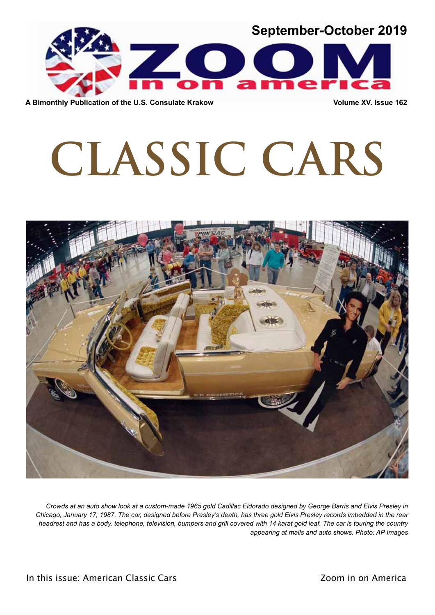

**A Bimonthly Publication of the U.S. Consulate Krakow Volume XV. Issue 162**

# **CLASSIC CARS**



*Crowds at an auto show look at a custom-made 1965 gold Cadillac Eldorado designed by George Barris and Elvis Presley in Chicago, January 17, 1987. The car, designed before Presley's death, has three gold Elvis Presley records imbedded in the rear headrest and has a body, telephone, television, bumpers and grill covered with 14 karat gold leaf. The car is touring the country appearing at malls and auto shows. Photo: AP Images*

In this issue: American Classic Cars **Internal Communist Communist Communist Communist Communist Communist Communist Communist Communist Communist Communist Communist Communist Communist Communist Communist Communist Commu**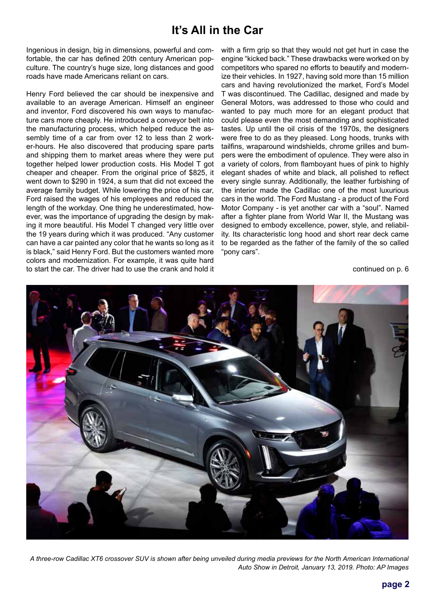# **It's All in the Car**

Ingenious in design, big in dimensions, powerful and comfortable, the car has defined 20th century American popculture. The country's huge size, long distances and good roads have made Americans reliant on cars.

Henry Ford believed the car should be inexpensive and available to an average American. Himself an engineer and inventor, Ford discovered his own ways to manufacture cars more cheaply. He introduced a conveyor belt into the manufacturing process, which helped reduce the assembly time of a car from over 12 to less than 2 worker-hours. He also discovered that producing spare parts and shipping them to market areas where they were put together helped lower production costs. His Model T got cheaper and cheaper. From the original price of \$825, it went down to \$290 in 1924, a sum that did not exceed the average family budget. While lowering the price of his car, Ford raised the wages of his employees and reduced the length of the workday. One thing he underestimated, however, was the importance of upgrading the design by making it more beautiful. His Model T changed very little over the 19 years during which it was produced. "Any customer can have a car painted any color that he wants so long as it is black," said Henry Ford. But the customers wanted more colors and modernization. For example, it was quite hard to start the car. The driver had to use the crank and hold it

with a firm grip so that they would not get hurt in case the engine "kicked back." These drawbacks were worked on by competitors who spared no efforts to beautify and modernize their vehicles. In 1927, having sold more than 15 million cars and having revolutionized the market, Ford's Model T was discontinued. The Cadillac, designed and made by General Motors, was addressed to those who could and wanted to pay much more for an elegant product that could please even the most demanding and sophisticated tastes. Up until the oil crisis of the 1970s, the designers were free to do as they pleased. Long hoods, trunks with tailfins, wraparound windshields, chrome grilles and bumpers were the embodiment of opulence. They were also in a variety of colors, from flamboyant hues of pink to highly elegant shades of white and black, all polished to reflect every single sunray. Additionally, the leather furbishing of the interior made the Cadillac one of the most luxurious cars in the world. The Ford Mustang - a product of the Ford Motor Company - is yet another car with a "soul". Named after a fighter plane from World War II, the Mustang was designed to embody excellence, power, style, and reliability. Its characteristic long hood and short rear deck came to be regarded as the father of the family of the so called "pony cars".

continued on p. 6



*A three-row Cadillac XT6 crossover SUV is shown after being unveiled during media previews for the North American International Auto Show in Detroit, January 13, 2019. Photo: AP Images*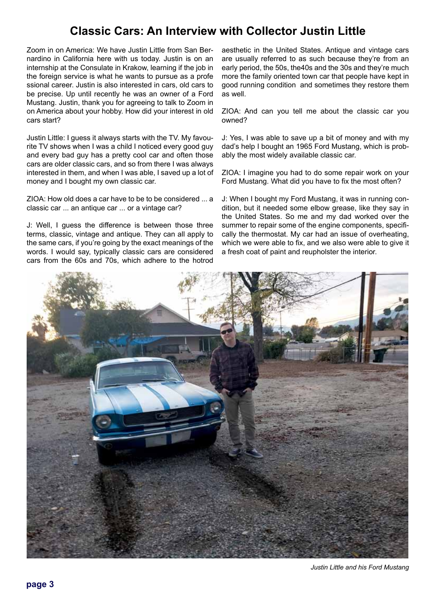# **Classic Cars: An Interview with Collector Justin Little**

Zoom in on America: We have Justin Little from San Bernardino in California here with us today. Justin is on an internship at the Consulate in Krakow, learning if the job in the foreign service is what he wants to pursue as a profe ssional career. Justin is also interested in cars, old cars to be precise. Up until recently he was an owner of a Ford Mustang. Justin, thank you for agreeing to talk to Zoom in on America about your hobby. How did your interest in old cars start?

Justin Little: I guess it always starts with the TV. My favourite TV shows when I was a child I noticed every good guy and every bad guy has a pretty cool car and often those cars are older classic cars, and so from there I was always interested in them, and when I was able, I saved up a lot of money and I bought my own classic car.

ZIOA: How old does a car have to be to be considered ... a classic car ... an antique car ... or a vintage car?

J: Well, I guess the difference is between those three terms, classic, vintage and antique. They can all apply to the same cars, if you're going by the exact meanings of the words. I would say, typically classic cars are considered cars from the 60s and 70s, which adhere to the hotrod

aesthetic in the United States. Antique and vintage cars are usually referred to as such because they're from an early period, the 50s, the40s and the 30s and they're much more the family oriented town car that people have kept in good running condition and sometimes they restore them as well.

ZIOA: And can you tell me about the classic car you owned?

J: Yes, I was able to save up a bit of money and with my dad's help I bought an 1965 Ford Mustang, which is probably the most widely available classic car.

ZIOA: I imagine you had to do some repair work on your Ford Mustang. What did you have to fix the most often?

J: When I bought my Ford Mustang, it was in running condition, but it needed some elbow grease, like they say in the United States. So me and my dad worked over the summer to repair some of the engine components, specifically the thermostat. My car had an issue of overheating, which we were able to fix, and we also were able to give it a fresh coat of paint and reupholster the interior.



*Justin Little and his Ford Mustang*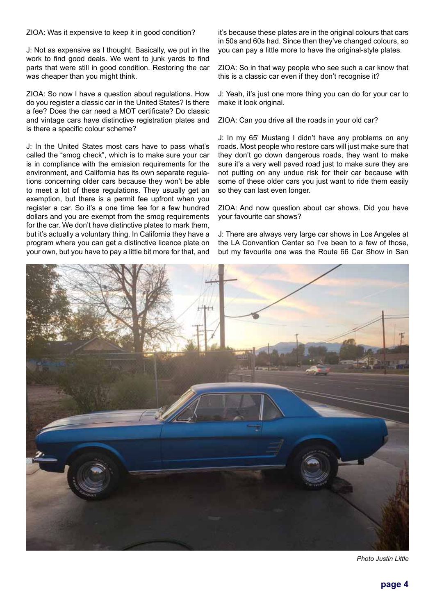ZIOA: Was it expensive to keep it in good condition?

J: Not as expensive as I thought. Basically, we put in the work to find good deals. We went to junk yards to find parts that were still in good condition. Restoring the car was cheaper than you might think.

ZIOA: So now I have a question about regulations. How do you register a classic car in the United States? Is there a fee? Does the car need a MOT certificate? Do classic and vintage cars have distinctive registration plates and is there a specific colour scheme?

J: In the United States most cars have to pass what's called the "smog check", which is to make sure your car is in compliance with the emission requirements for the environment, and California has its own separate regulations concerning older cars because they won't be able to meet a lot of these regulations. They usually get an exemption, but there is a permit fee upfront when you register a car. So it's a one time fee for a few hundred dollars and you are exempt from the smog requirements for the car. We don't have distinctive plates to mark them, but it's actually a voluntary thing. In California they have a program where you can get a distinctive licence plate on your own, but you have to pay a little bit more for that, and

it's because these plates are in the original colours that cars in 50s and 60s had. Since then they've changed colours, so you can pay a little more to have the original-style plates.

ZIOA: So in that way people who see such a car know that this is a classic car even if they don't recognise it?

J: Yeah, it's just one more thing you can do for your car to make it look original.

ZIOA: Can you drive all the roads in your old car?

J: In my 65' Mustang I didn't have any problems on any roads. Most people who restore cars will just make sure that they don't go down dangerous roads, they want to make sure it's a very well paved road just to make sure they are not putting on any undue risk for their car because with some of these older cars you just want to ride them easily so they can last even longer.

ZIOA: And now question about car shows. Did you have your favourite car shows?

J: There are always very large car shows in Los Angeles at the LA Convention Center so I've been to a few of those, but my favourite one was the Route 66 Car Show in San



*Photo Justin Little*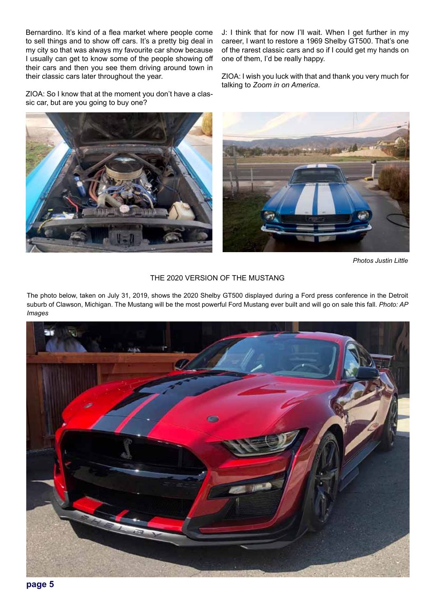Bernardino. It's kind of a flea market where people come to sell things and to show off cars. It's a pretty big deal in my city so that was always my favourite car show because I usually can get to know some of the people showing off their cars and then you see them driving around town in their classic cars later throughout the year.

ZIOA: So I know that at the moment you don't have a classic car, but are you going to buy one?

J: I think that for now I'll wait. When I get further in my career, I want to restore a 1969 Shelby GT500. That's one of the rarest classic cars and so if I could get my hands on one of them, I'd be really happy.

ZIOA: I wish you luck with that and thank you very much for talking to *Zoom in on America*.





*Photos Justin Little*

## THE 2020 VERSION OF THE MUSTANG

The photo below, taken on July 31, 2019, shows the 2020 Shelby GT500 displayed during a Ford press conference in the Detroit suburb of Clawson, Michigan. The Mustang will be the most powerful Ford Mustang ever built and will go on sale this fall. *Photo: AP Images*

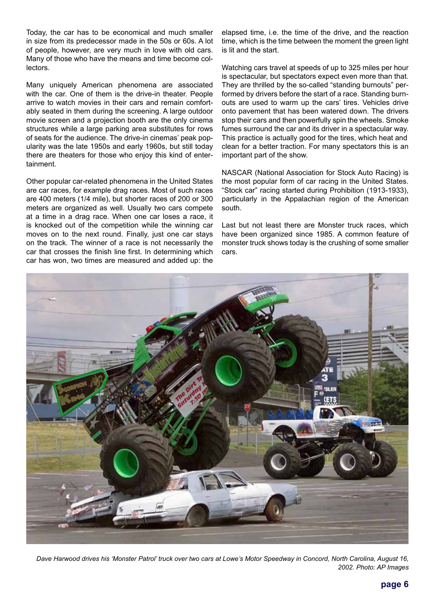Today, the car has to be economical and much smaller in size from its predecessor made in the 50s or 60s. A lot of people, however, are very much in love with old cars. Many of those who have the means and time become collectors.

Many uniquely American phenomena are associated with the car. One of them is the drive-in theater. People arrive to watch movies in their cars and remain comfortably seated in them during the screening. A large outdoor movie screen and a projection booth are the only cinema structures while a large parking area substitutes for rows of seats for the audience. The drive-in cinemas' peak popularity was the late 1950s and early 1960s, but still today there are theaters for those who enjoy this kind of entertainment.

Other popular car-related phenomena in the United States are car races, for example drag races. Most of such races are 400 meters (1/4 mile), but shorter races of 200 or 300 meters are organized as well. Usually two cars compete at a time in a drag race. When one car loses a race, it is knocked out of the competition while the winning car moves on to the next round. Finally, just one car stays on the track. The winner of a race is not necessarily the car that crosses the finish line first. In determining which car has won, two times are measured and added up: the

elapsed time, i.e. the time of the drive, and the reaction time, which is the time between the moment the green light is lit and the start.

Watching cars travel at speeds of up to 325 miles per hour is spectacular, but spectators expect even more than that. They are thrilled by the so-called "standing burnouts" performed by drivers before the start of a race. Standing burnouts are used to warm up the cars' tires. Vehicles drive onto pavement that has been watered down. The drivers stop their cars and then powerfully spin the wheels. Smoke fumes surround the car and its driver in a spectacular way. This practice is actually good for the tires, which heat and clean for a better traction. For many spectators this is an important part of the show.

NASCAR (National Association for Stock Auto Racing) is the most popular form of car racing in the United States. "Stock car" racing started during Prohibition (1913-1933), particularly in the Appalachian region of the American south.

Last but not least there are Monster truck races, which have been organized since 1985. A common feature of monster truck shows today is the crushing of some smaller cars.



*Dave Harwood drives his 'Monster Patrol' truck over two cars at Lowe's Motor Speedway in Concord, North Carolina, August 16, 2002. Photo: AP Images*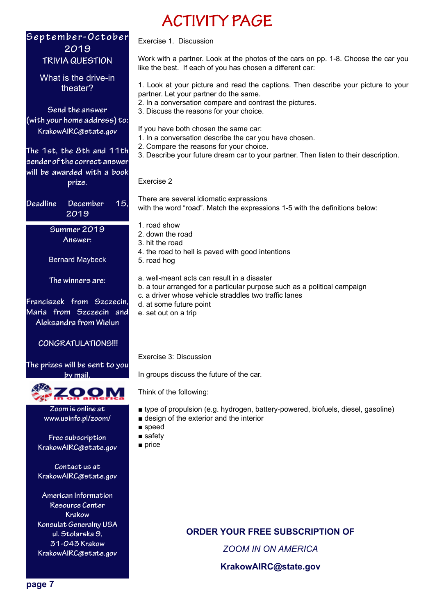# **S e p t e m b e r - O c t o b e r 2019 TRIVIA QUESTION**

What is the drive-in theater?

**Send the answer (with your home address) to: KrakowAIRC@state.gov**

**The 1st, the 8th and 11th sender of the correct answer will be awarded with a book prize.** 

**Deadline December 15, 2019**

> **Summer 2019 Answer:**

Bernard Maybeck

**The winners are:**

**Franciszek from Szczecin, Maria from Szczecin and Aleksandra from Wielun**

# **CONGRATULATIONS!!!**

# **The prizes will be sent to you by mail.**



**Zoom is online at www.usinfo.pl/zoom/**

**Free subscription KrakowAIRC@state.gov**

**Contact us at KrakowAIRC@state.gov**

**American Information Resource Center Krakow Konsulat Generalny USA ul. Stolarska 9, 31-043 Krakow KrakowAIRC@state.gov**

## Exercise 1. Discussion

Work with a partner. Look at the photos of the cars on pp. 1-8. Choose the car you like the best. If each of you has chosen a different car:

1. Look at your picture and read the captions. Then describe your picture to your partner. Let your partner do the same.

2. In a conversation compare and contrast the pictures.

**ACTIVITY PAGE**

- 3. Discuss the reasons for your choice.
- If you have both chosen the same car:
- 1. In a conversation describe the car you have chosen.
- 2. Compare the reasons for your choice.
- 3. Describe your future dream car to your partner. Then listen to their description.

#### Exercise 2

There are several idiomatic expressions with the word "road". Match the expressions 1-5 with the definitions below:

- 1. road show
- 2. down the road
- 3. hit the road
- 4. the road to hell is paved with good intentions
- 5. road hog

a. well-meant acts can result in a disaster

- b. a tour arranged for a particular purpose such as a political campaign
- c. a driver whose vehicle straddles two traffic lanes
- d. at some future point
- e. set out on a trip

Exercise 3: Discussion

In groups discuss the future of the car.

Think of the following:

- type of propulsion (e.g. hydrogen, battery-powered, biofuels, diesel, gasoline)
- design of the exterior and the interior
- speed
- safety
- price

**ORDER YOUR FREE SUBSCRIPTION OF**

*ZOOM IN ON AMERICA*

**KrakowAIRC@state.gov**